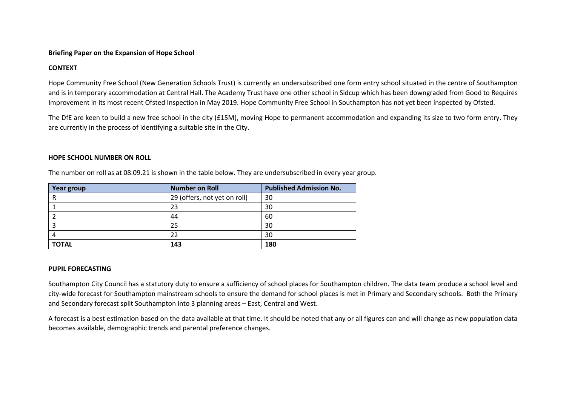#### **Briefing Paper on the Expansion of Hope School**

# **CONTEXT**

Hope Community Free School (New Generation Schools Trust) is currently an undersubscribed one form entry school situated in the centre of Southampton and is in temporary accommodation at Central Hall. The Academy Trust have one other school in Sidcup which has been downgraded from Good to Requires Improvement in its most recent Ofsted Inspection in May 2019. Hope Community Free School in Southampton has not yet been inspected by Ofsted.

The DfE are keen to build a new free school in the city (£15M), moving Hope to permanent accommodation and expanding its size to two form entry. They are currently in the process of identifying a suitable site in the City.

#### **HOPE SCHOOL NUMBER ON ROLL**

| Year group   | <b>Number on Roll</b>        | <b>Published Admission No.</b> |
|--------------|------------------------------|--------------------------------|
| R            | 29 (offers, not yet on roll) | 30                             |
|              | 23                           | 30                             |
|              | 44                           | 60                             |
|              | 25                           | 30                             |
| 4            | 22                           | 30                             |
| <b>TOTAL</b> | 143                          | 180                            |

The number on roll as at 08.09.21 is shown in the table below. They are undersubscribed in every year group.

## **PUPIL FORECASTING**

Southampton City Council has a statutory duty to ensure a sufficiency of school places for Southampton children. The data team produce a school level and city-wide forecast for Southampton mainstream schools to ensure the demand for school places is met in Primary and Secondary schools. Both the Primary and Secondary forecast split Southampton into 3 planning areas – East, Central and West.

A forecast is a best estimation based on the data available at that time. It should be noted that any or all figures can and will change as new population data becomes available, demographic trends and parental preference changes.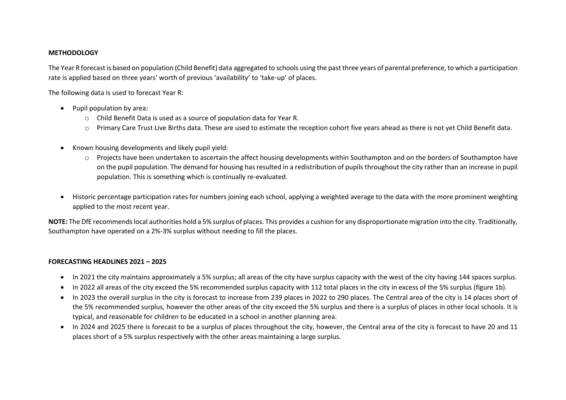#### **METHODOLOGY**

The Year R forecast is based on population (Child Benefit) data aggregated to schools using the past three years of parental preference, to which a participation rate is applied based on three years' worth of previous 'availability' to 'take-up' of places.

The following data is used to forecast Year R:

- Pupil population by area:
	- o Child Benefit Data is used as a source of population data for Year R.
	- o Primary Care Trust Live Births data. These are used to estimate the reception cohort five years ahead as there is not yet Child Benefit data.
- Known housing developments and likely pupil yield:
	- o Projects have been undertaken to ascertain the affect housing developments within Southampton and on the borders of Southampton have on the pupil population. The demand for housing has resulted in a redistribution of pupils throughout the city rather than an increase in pupil population. This is something which is continually re-evaluated.
- Historic percentage participation rates for numbers joining each school, applying a weighted average to the data with the more prominent weighting applied to the most recent year.

**NOTE:** The DfE recommends local authorities hold a 5% surplus of places. This provides a cushion for any disproportionate migration into the city. Traditionally, Southampton have operated on a 2%-3% surplus without needing to fill the places.

## **FORECASTING HEADLINES 2021 – 2025**

- In 2021 the city maintains approximately a 5% surplus; all areas of the city have surplus capacity with the west of the city having 144 spaces surplus.
- In 2022 all areas of the city exceed the 5% recommended surplus capacity with 112 total places in the city in excess of the 5% surplus (figure 1b).
- In 2023 the overall surplus in the city is forecast to increase from 239 places in 2022 to 290 places. The Central area of the city is 14 places short of the 5% recommended surplus, however the other areas of the city exceed the 5% surplus and there is a surplus of places in other local schools. It is typical, and reasonable for children to be educated in a school in another planning area.
- In 2024 and 2025 there is forecast to be a surplus of places throughout the city, however, the Central area of the city is forecast to have 20 and 11 places short of a 5% surplus respectively with the other areas maintaining a large surplus.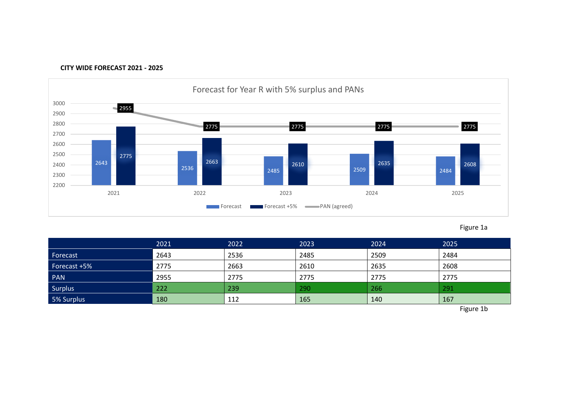



Figure 1a

|                | 2021 | 2022 | 2023 | 2024 | 2025 |
|----------------|------|------|------|------|------|
| Forecast       | 2643 | 2536 | 2485 | 2509 | 2484 |
| Forecast +5%   | 2775 | 2663 | 2610 | 2635 | 2608 |
| PAN            | 2955 | 2775 | 2775 | 2775 | 2775 |
| <b>Surplus</b> | 222  | 239  | 290  | 266  | 291  |
| 5% Surplus     | 180  | 112  | 165  | 140  | 167  |

Figure 1b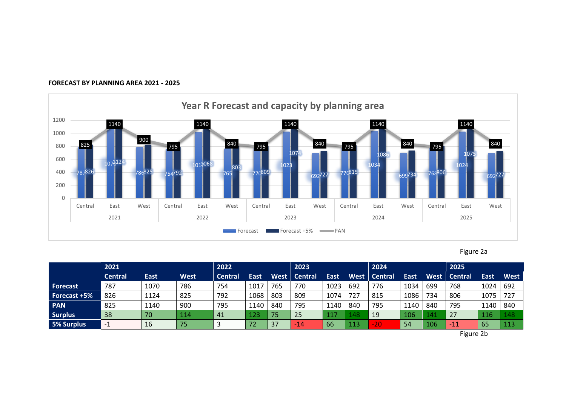

### **FORECAST BY PLANNING AREA 2021 - 2025**

Figure 2a

|                 | 2021           |             |             | 2022           |                 | 2023 |                |             | 2024 |                |             | 2025 |                |             |             |
|-----------------|----------------|-------------|-------------|----------------|-----------------|------|----------------|-------------|------|----------------|-------------|------|----------------|-------------|-------------|
|                 | <b>Central</b> | <b>East</b> | <b>West</b> | <b>Central</b> | East            | West | <b>Central</b> | <b>East</b> | West | <b>Central</b> | <b>East</b> | West | <b>Central</b> | <b>East</b> | <b>West</b> |
| <b>Forecast</b> | 787            | 1070        | 786         | 754            | 1017            | 765  | 770            | 1023        | 692  | 776            | 1034        | 699  | 768            | 1024        | 692         |
| Forecast +5%    | 826            | 1124        | 825         | 792            | 1068            | 803  | 809            | 1074        | 727  | 815            | 1086        | 734  | 806            | 1075        | 727         |
| <b>PAN</b>      | 825            | 1140        | 900         | 795            | 1140            | 840  | 795            | 1140        | 840  | 795            | 1140        | 840  | 795            | 1140        | 840         |
| <b>Surplus</b>  | 38             | 70          | 114         | 41             | 123             | 75   | 25             | 117         | 148  | 19             | 106         | 141  | 27             | 116         | 148         |
| 5% Surplus      | $-1$           | 16          | 75          |                | 72 <sup>°</sup> | 37   | $-14$          | 66          | 113  | $-20$          | 54          | 106  | $-11$          | 65          | 113         |

Figure 2b